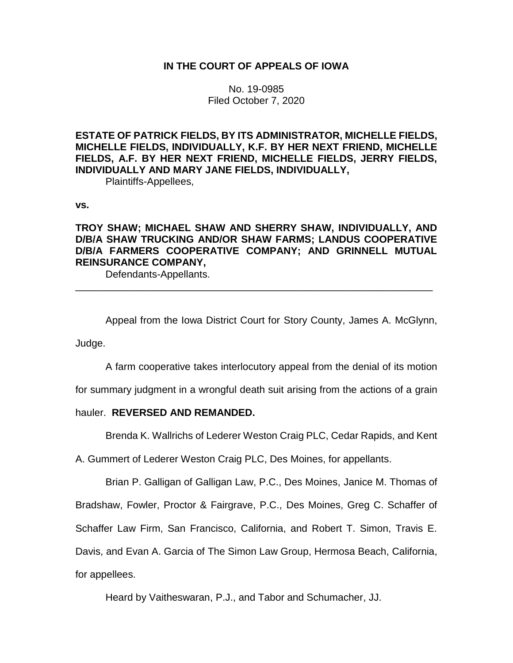# **IN THE COURT OF APPEALS OF IOWA**

No. 19-0985 Filed October 7, 2020

**ESTATE OF PATRICK FIELDS, BY ITS ADMINISTRATOR, MICHELLE FIELDS, MICHELLE FIELDS, INDIVIDUALLY, K.F. BY HER NEXT FRIEND, MICHELLE FIELDS, A.F. BY HER NEXT FRIEND, MICHELLE FIELDS, JERRY FIELDS, INDIVIDUALLY AND MARY JANE FIELDS, INDIVIDUALLY,**

Plaintiffs-Appellees,

**vs.**

# **TROY SHAW; MICHAEL SHAW AND SHERRY SHAW, INDIVIDUALLY, AND D/B/A SHAW TRUCKING AND/OR SHAW FARMS; LANDUS COOPERATIVE D/B/A FARMERS COOPERATIVE COMPANY; AND GRINNELL MUTUAL REINSURANCE COMPANY,**

\_\_\_\_\_\_\_\_\_\_\_\_\_\_\_\_\_\_\_\_\_\_\_\_\_\_\_\_\_\_\_\_\_\_\_\_\_\_\_\_\_\_\_\_\_\_\_\_\_\_\_\_\_\_\_\_\_\_\_\_\_\_\_\_

Defendants-Appellants.

Appeal from the Iowa District Court for Story County, James A. McGlynn,

Judge.

A farm cooperative takes interlocutory appeal from the denial of its motion

for summary judgment in a wrongful death suit arising from the actions of a grain

# hauler. **REVERSED AND REMANDED.**

Brenda K. Wallrichs of Lederer Weston Craig PLC, Cedar Rapids, and Kent

A. Gummert of Lederer Weston Craig PLC, Des Moines, for appellants.

Brian P. Galligan of Galligan Law, P.C., Des Moines, Janice M. Thomas of

Bradshaw, Fowler, Proctor & Fairgrave, P.C., Des Moines, Greg C. Schaffer of

Schaffer Law Firm, San Francisco, California, and Robert T. Simon, Travis E.

Davis, and Evan A. Garcia of The Simon Law Group, Hermosa Beach, California,

for appellees.

Heard by Vaitheswaran, P.J., and Tabor and Schumacher, JJ.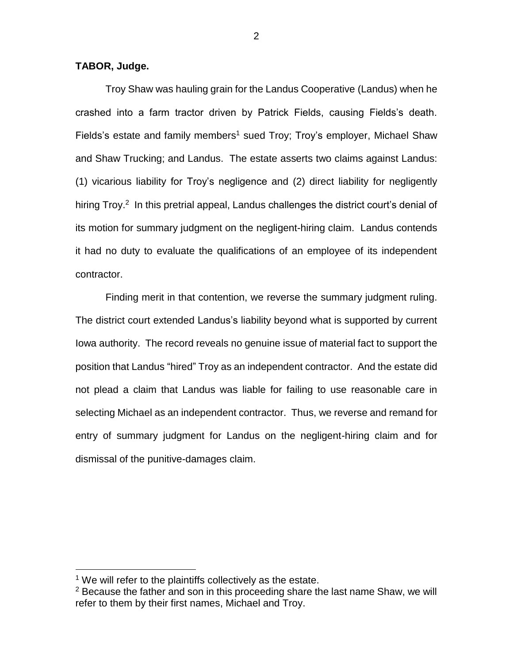# **TABOR, Judge.**

Troy Shaw was hauling grain for the Landus Cooperative (Landus) when he crashed into a farm tractor driven by Patrick Fields, causing Fields's death. Fields's estate and family members<sup>1</sup> sued Troy; Troy's employer, Michael Shaw and Shaw Trucking; and Landus. The estate asserts two claims against Landus: (1) vicarious liability for Troy's negligence and (2) direct liability for negligently hiring Troy.<sup>2</sup> In this pretrial appeal, Landus challenges the district court's denial of its motion for summary judgment on the negligent-hiring claim. Landus contends it had no duty to evaluate the qualifications of an employee of its independent contractor.

Finding merit in that contention, we reverse the summary judgment ruling. The district court extended Landus's liability beyond what is supported by current Iowa authority. The record reveals no genuine issue of material fact to support the position that Landus "hired" Troy as an independent contractor. And the estate did not plead a claim that Landus was liable for failing to use reasonable care in selecting Michael as an independent contractor. Thus, we reverse and remand for entry of summary judgment for Landus on the negligent-hiring claim and for dismissal of the punitive-damages claim.

 $1$  We will refer to the plaintiffs collectively as the estate.

 $2$  Because the father and son in this proceeding share the last name Shaw, we will refer to them by their first names, Michael and Troy.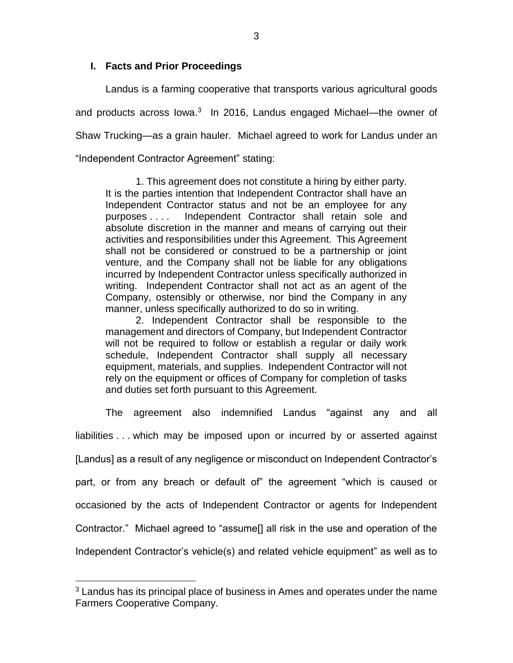# **I. Facts and Prior Proceedings**

Landus is a farming cooperative that transports various agricultural goods and products across lowa.<sup>3</sup> In 2016, Landus engaged Michael—the owner of Shaw Trucking—as a grain hauler. Michael agreed to work for Landus under an "Independent Contractor Agreement" stating:

1. This agreement does not constitute a hiring by either party. It is the parties intention that Independent Contractor shall have an Independent Contractor status and not be an employee for any purposes . . . . Independent Contractor shall retain sole and absolute discretion in the manner and means of carrying out their activities and responsibilities under this Agreement. This Agreement shall not be considered or construed to be a partnership or joint venture, and the Company shall not be liable for any obligations incurred by Independent Contractor unless specifically authorized in writing. Independent Contractor shall not act as an agent of the Company, ostensibly or otherwise, nor bind the Company in any manner, unless specifically authorized to do so in writing.

2. Independent Contractor shall be responsible to the management and directors of Company, but Independent Contractor will not be required to follow or establish a regular or daily work schedule, Independent Contractor shall supply all necessary equipment, materials, and supplies. Independent Contractor will not rely on the equipment or offices of Company for completion of tasks and duties set forth pursuant to this Agreement.

The agreement also indemnified Landus "against any and all liabilities . . . which may be imposed upon or incurred by or asserted against [Landus] as a result of any negligence or misconduct on Independent Contractor's part, or from any breach or default of" the agreement "which is caused or occasioned by the acts of Independent Contractor or agents for Independent Contractor." Michael agreed to "assume[] all risk in the use and operation of the Independent Contractor's vehicle(s) and related vehicle equipment" as well as to

 $3$  Landus has its principal place of business in Ames and operates under the name Farmers Cooperative Company.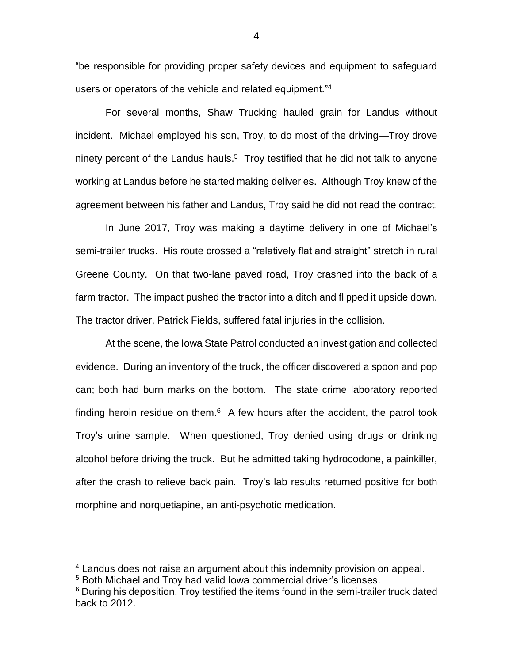"be responsible for providing proper safety devices and equipment to safeguard users or operators of the vehicle and related equipment."<sup>4</sup>

For several months, Shaw Trucking hauled grain for Landus without incident. Michael employed his son, Troy, to do most of the driving—Troy drove ninety percent of the Landus hauls. <sup>5</sup> Troy testified that he did not talk to anyone working at Landus before he started making deliveries. Although Troy knew of the agreement between his father and Landus, Troy said he did not read the contract.

In June 2017, Troy was making a daytime delivery in one of Michael's semi-trailer trucks. His route crossed a "relatively flat and straight" stretch in rural Greene County. On that two-lane paved road, Troy crashed into the back of a farm tractor. The impact pushed the tractor into a ditch and flipped it upside down. The tractor driver, Patrick Fields, suffered fatal injuries in the collision.

At the scene, the Iowa State Patrol conducted an investigation and collected evidence. During an inventory of the truck, the officer discovered a spoon and pop can; both had burn marks on the bottom. The state crime laboratory reported finding heroin residue on them. $6$  A few hours after the accident, the patrol took Troy's urine sample. When questioned, Troy denied using drugs or drinking alcohol before driving the truck. But he admitted taking hydrocodone, a painkiller, after the crash to relieve back pain. Troy's lab results returned positive for both morphine and norquetiapine, an anti-psychotic medication.

 $\overline{a}$ 

4

<sup>4</sup> Landus does not raise an argument about this indemnity provision on appeal.

<sup>&</sup>lt;sup>5</sup> Both Michael and Troy had valid Iowa commercial driver's licenses.

<sup>&</sup>lt;sup>6</sup> During his deposition, Troy testified the items found in the semi-trailer truck dated back to 2012.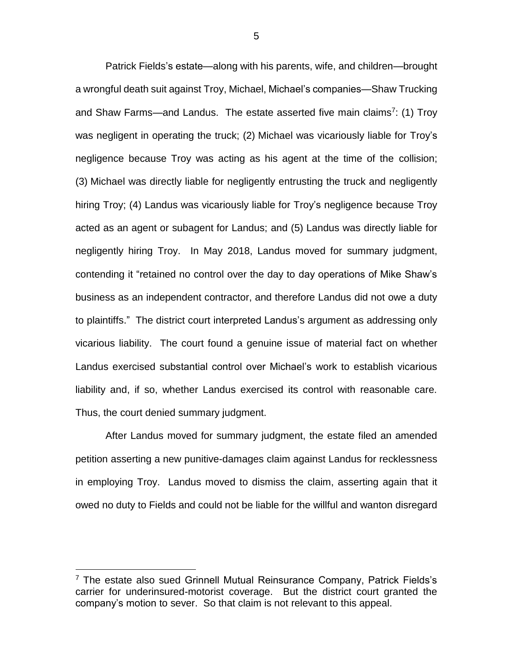Patrick Fields's estate—along with his parents, wife, and children—brought a wrongful death suit against Troy, Michael, Michael's companies—Shaw Trucking and Shaw Farms—and Landus. The estate asserted five main claims<sup>7</sup>: (1) Troy was negligent in operating the truck; (2) Michael was vicariously liable for Troy's negligence because Troy was acting as his agent at the time of the collision; (3) Michael was directly liable for negligently entrusting the truck and negligently hiring Troy; (4) Landus was vicariously liable for Troy's negligence because Troy acted as an agent or subagent for Landus; and (5) Landus was directly liable for negligently hiring Troy. In May 2018, Landus moved for summary judgment, contending it "retained no control over the day to day operations of Mike Shaw's business as an independent contractor, and therefore Landus did not owe a duty to plaintiffs." The district court interpreted Landus's argument as addressing only vicarious liability. The court found a genuine issue of material fact on whether Landus exercised substantial control over Michael's work to establish vicarious liability and, if so, whether Landus exercised its control with reasonable care. Thus, the court denied summary judgment.

After Landus moved for summary judgment, the estate filed an amended petition asserting a new punitive-damages claim against Landus for recklessness in employing Troy. Landus moved to dismiss the claim, asserting again that it owed no duty to Fields and could not be liable for the willful and wanton disregard

 $7$  The estate also sued Grinnell Mutual Reinsurance Company, Patrick Fields's carrier for underinsured-motorist coverage. But the district court granted the company's motion to sever. So that claim is not relevant to this appeal.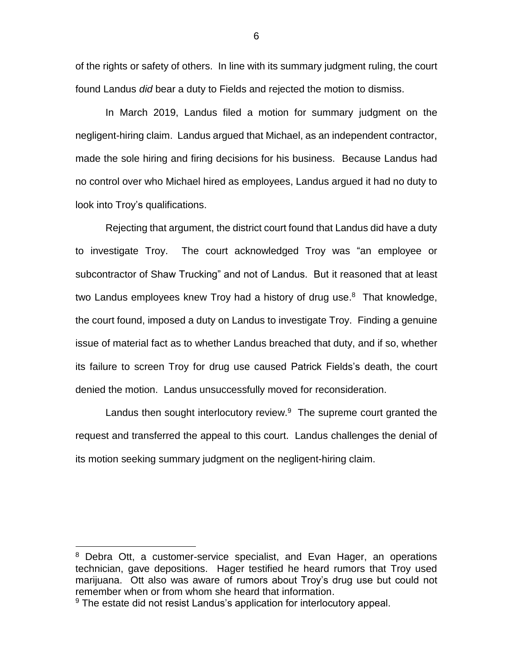of the rights or safety of others. In line with its summary judgment ruling, the court found Landus *did* bear a duty to Fields and rejected the motion to dismiss.

In March 2019, Landus filed a motion for summary judgment on the negligent-hiring claim. Landus argued that Michael, as an independent contractor, made the sole hiring and firing decisions for his business. Because Landus had no control over who Michael hired as employees, Landus argued it had no duty to look into Troy's qualifications.

Rejecting that argument, the district court found that Landus did have a duty to investigate Troy. The court acknowledged Troy was "an employee or subcontractor of Shaw Trucking" and not of Landus. But it reasoned that at least two Landus employees knew Troy had a history of drug use.<sup>8</sup> That knowledge, the court found, imposed a duty on Landus to investigate Troy. Finding a genuine issue of material fact as to whether Landus breached that duty, and if so, whether its failure to screen Troy for drug use caused Patrick Fields's death, the court denied the motion. Landus unsuccessfully moved for reconsideration.

Landus then sought interlocutory review. $9$  The supreme court granted the request and transferred the appeal to this court. Landus challenges the denial of its motion seeking summary judgment on the negligent-hiring claim.

<sup>&</sup>lt;sup>8</sup> Debra Ott, a customer-service specialist, and Evan Hager, an operations technician, gave depositions. Hager testified he heard rumors that Troy used marijuana. Ott also was aware of rumors about Troy's drug use but could not remember when or from whom she heard that information.

<sup>&</sup>lt;sup>9</sup> The estate did not resist Landus's application for interlocutory appeal.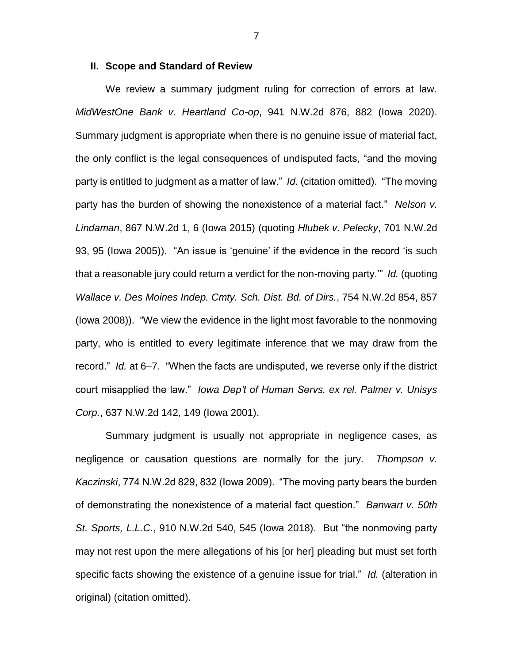#### **II. Scope and Standard of Review**

We review a summary judgment ruling for correction of errors at law. *MidWestOne Bank v. Heartland Co-op*, 941 N.W.2d 876, 882 (Iowa 2020). Summary judgment is appropriate when there is no genuine issue of material fact, the only conflict is the legal consequences of undisputed facts, "and the moving party is entitled to judgment as a matter of law." *Id.* (citation omitted). "The moving party has the burden of showing the nonexistence of a material fact." *Nelson v. Lindaman*, 867 N.W.2d 1, 6 (Iowa 2015) (quoting *Hlubek v. Pelecky*, 701 N.W.2d 93, 95 (Iowa 2005)). "An issue is 'genuine' if the evidence in the record 'is such that a reasonable jury could return a verdict for the non-moving party.'" *Id.* (quoting *Wallace v. Des Moines Indep. Cmty. Sch. Dist. Bd. of Dirs.*, 754 N.W.2d 854, 857 (Iowa 2008)). "We view the evidence in the light most favorable to the nonmoving party, who is entitled to every legitimate inference that we may draw from the record." *Id.* at 6–7. "When the facts are undisputed, we reverse only if the district court misapplied the law." *Iowa Dep't of Human Servs. ex rel. Palmer v. Unisys Corp.*, 637 N.W.2d 142, 149 (Iowa 2001).

Summary judgment is usually not appropriate in negligence cases, as negligence or causation questions are normally for the jury. *Thompson v. Kaczinski*, 774 N.W.2d 829, 832 (Iowa 2009). "The moving party bears the burden of demonstrating the nonexistence of a material fact question." *Banwart v. 50th St. Sports, L.L.C.*, 910 N.W.2d 540, 545 (Iowa 2018). But "the nonmoving party may not rest upon the mere allegations of his [or her] pleading but must set forth specific facts showing the existence of a genuine issue for trial." *Id.* (alteration in original) (citation omitted).

7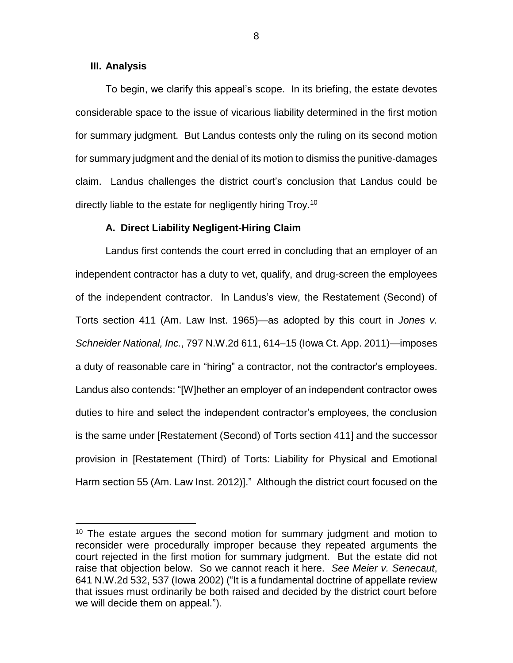### **III. Analysis**

 $\overline{a}$ 

To begin, we clarify this appeal's scope. In its briefing, the estate devotes considerable space to the issue of vicarious liability determined in the first motion for summary judgment. But Landus contests only the ruling on its second motion for summary judgment and the denial of its motion to dismiss the punitive-damages claim. Landus challenges the district court's conclusion that Landus could be directly liable to the estate for negligently hiring Troy.<sup>10</sup>

#### **A. Direct Liability Negligent-Hiring Claim**

Landus first contends the court erred in concluding that an employer of an independent contractor has a duty to vet, qualify, and drug-screen the employees of the independent contractor. In Landus's view, the Restatement (Second) of Torts section 411 (Am. Law Inst. 1965)—as adopted by this court in *Jones v. Schneider National, Inc.*, 797 N.W.2d 611, 614–15 (Iowa Ct. App. 2011)—imposes a duty of reasonable care in "hiring" a contractor, not the contractor's employees. Landus also contends: "[W]hether an employer of an independent contractor owes duties to hire and select the independent contractor's employees, the conclusion is the same under [Restatement (Second) of Torts section 411] and the successor provision in [Restatement (Third) of Torts: Liability for Physical and Emotional Harm section 55 (Am. Law Inst. 2012)]." Although the district court focused on the

8

<sup>&</sup>lt;sup>10</sup> The estate argues the second motion for summary judgment and motion to reconsider were procedurally improper because they repeated arguments the court rejected in the first motion for summary judgment. But the estate did not raise that objection below. So we cannot reach it here. *See Meier v. Senecaut*, 641 N.W.2d 532, 537 (Iowa 2002) ("It is a fundamental doctrine of appellate review that issues must ordinarily be both raised and decided by the district court before we will decide them on appeal.").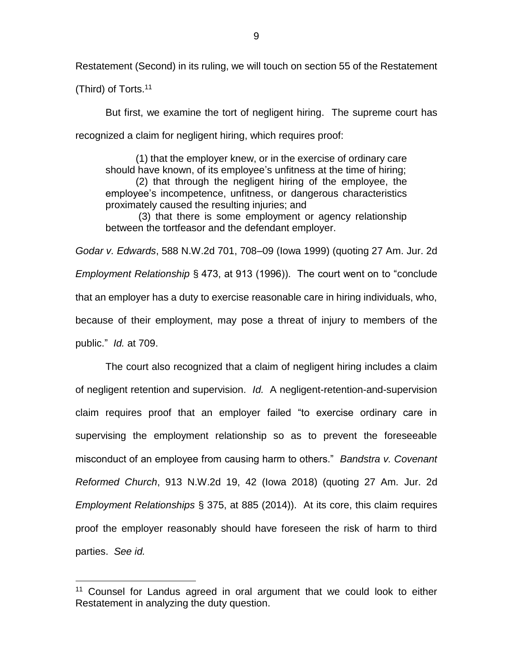Restatement (Second) in its ruling, we will touch on section 55 of the Restatement

(Third) of Torts. 11

 $\overline{a}$ 

But first, we examine the tort of negligent hiring. The supreme court has recognized a claim for negligent hiring, which requires proof:

(1) that the employer knew, or in the exercise of ordinary care should have known, of its employee's unfitness at the time of hiring; (2) that through the negligent hiring of the employee, the employee's incompetence, unfitness, or dangerous characteristics proximately caused the resulting injuries; and

(3) that there is some employment or agency relationship between the tortfeasor and the defendant employer.

*Godar v. Edwards*, 588 N.W.2d 701, 708–09 (Iowa 1999) (quoting 27 Am. Jur. 2d *Employment Relationship* § 473, at 913 (1996)). The court went on to "conclude that an employer has a duty to exercise reasonable care in hiring individuals, who, because of their employment, may pose a threat of injury to members of the public." *Id.* at 709.

The court also recognized that a claim of negligent hiring includes a claim of negligent retention and supervision. *Id.* A negligent-retention-and-supervision claim requires proof that an employer failed "to exercise ordinary care in supervising the employment relationship so as to prevent the foreseeable misconduct of an employee from causing harm to others." *Bandstra v. Covenant Reformed Church*, 913 N.W.2d 19, 42 (Iowa 2018) (quoting 27 Am. Jur. 2d *Employment Relationships* § 375, at 885 (2014)). At its core, this claim requires proof the employer reasonably should have foreseen the risk of harm to third parties. *See id.* 

<sup>&</sup>lt;sup>11</sup> Counsel for Landus agreed in oral argument that we could look to either Restatement in analyzing the duty question.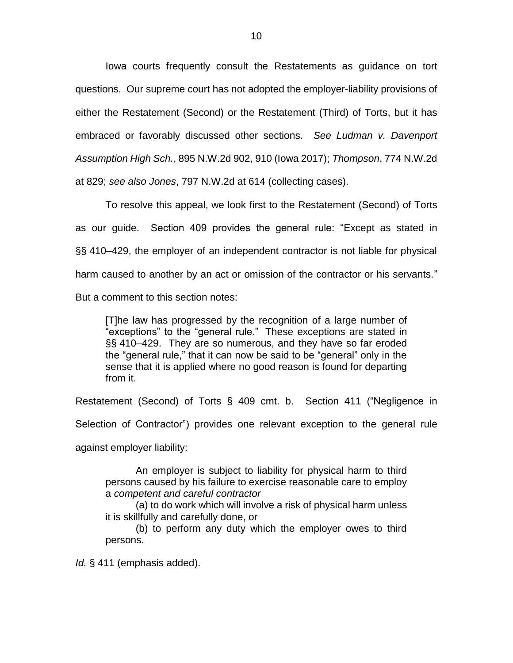Iowa courts frequently consult the Restatements as guidance on tort questions. Our supreme court has not adopted the employer-liability provisions of either the Restatement (Second) or the Restatement (Third) of Torts, but it has embraced or favorably discussed other sections. *See Ludman v. Davenport Assumption High Sch.*, 895 N.W.2d 902, 910 (Iowa 2017); *Thompson*, 774 N.W.2d at 829; *see also Jones*, 797 N.W.2d at 614 (collecting cases).

To resolve this appeal, we look first to the Restatement (Second) of Torts as our guide. Section 409 provides the general rule: "Except as stated in §§ 410–429, the employer of an independent contractor is not liable for physical harm caused to another by an act or omission of the contractor or his servants." But a comment to this section notes:

[T]he law has progressed by the recognition of a large number of "exceptions" to the "general rule." These exceptions are stated in §§ 410–429. They are so numerous, and they have so far eroded the "general rule," that it can now be said to be "general" only in the sense that it is applied where no good reason is found for departing from it.

Restatement (Second) of Torts § 409 cmt. b. Section 411 ("Negligence in

Selection of Contractor") provides one relevant exception to the general rule

against employer liability:

An employer is subject to liability for physical harm to third persons caused by his failure to exercise reasonable care to employ a *competent and careful contractor*

(a) to do work which will involve a risk of physical harm unless it is skillfully and carefully done, or

(b) to perform any duty which the employer owes to third persons.

*Id.* § 411 (emphasis added).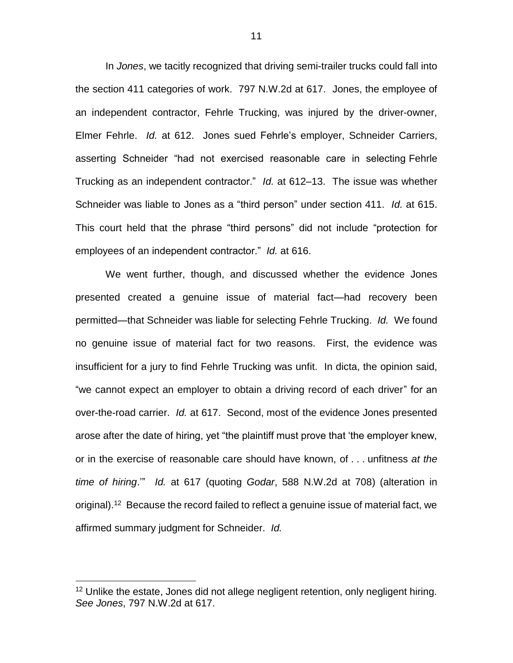In *Jones*, we tacitly recognized that driving semi-trailer trucks could fall into the section 411 categories of work. 797 N.W.2d at 617. Jones, the employee of an independent contractor, Fehrle Trucking, was injured by the driver-owner, Elmer Fehrle. *Id.* at 612. Jones sued Fehrle's employer, Schneider Carriers, asserting Schneider "had not exercised reasonable care in selecting Fehrle Trucking as an independent contractor." *Id.* at 612–13. The issue was whether Schneider was liable to Jones as a "third person" under section 411. *Id.* at 615. This court held that the phrase "third persons" did not include "protection for employees of an independent contractor." *Id.* at 616.

We went further, though, and discussed whether the evidence Jones presented created a genuine issue of material fact—had recovery been permitted—that Schneider was liable for selecting Fehrle Trucking. *Id.* We found no genuine issue of material fact for two reasons. First, the evidence was insufficient for a jury to find Fehrle Trucking was unfit. In dicta, the opinion said, "we cannot expect an employer to obtain a driving record of each driver" for an over-the-road carrier. *Id.* at 617. Second, most of the evidence Jones presented arose after the date of hiring, yet "the plaintiff must prove that 'the employer knew, or in the exercise of reasonable care should have known, of . . . unfitness *at the time of hiring*.'" *Id.* at 617 (quoting *Godar*, 588 N.W.2d at 708) (alteration in original).<sup>12</sup> Because the record failed to reflect a genuine issue of material fact, we affirmed summary judgment for Schneider. *Id.*

<sup>&</sup>lt;sup>12</sup> Unlike the estate, Jones did not allege negligent retention, only negligent hiring. *See Jones*, 797 N.W.2d at 617.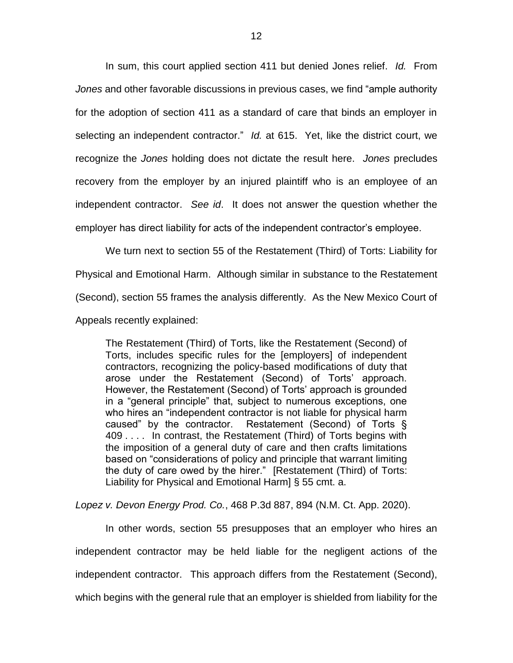In sum, this court applied section 411 but denied Jones relief. *Id.* From *Jones* and other favorable discussions in previous cases, we find "ample authority for the adoption of section 411 as a standard of care that binds an employer in selecting an independent contractor." *Id.* at 615. Yet, like the district court, we recognize the *Jones* holding does not dictate the result here. *Jones* precludes recovery from the employer by an injured plaintiff who is an employee of an independent contractor. *See id*. It does not answer the question whether the employer has direct liability for acts of the independent contractor's employee.

We turn next to section 55 of the Restatement (Third) of Torts: Liability for Physical and Emotional Harm. Although similar in substance to the Restatement (Second), section 55 frames the analysis differently. As the New Mexico Court of Appeals recently explained:

The Restatement (Third) of Torts, like the Restatement (Second) of Torts, includes specific rules for the [employers] of independent contractors, recognizing the policy-based modifications of duty that arose under the Restatement (Second) of Torts' approach. However, the Restatement (Second) of Torts' approach is grounded in a "general principle" that, subject to numerous exceptions, one who hires an "independent contractor is not liable for physical harm caused" by the contractor. Restatement (Second) of Torts § 409 . . . . In contrast, the Restatement (Third) of Torts begins with the imposition of a general duty of care and then crafts limitations based on "considerations of policy and principle that warrant limiting the duty of care owed by the hirer." [Restatement (Third) of Torts: Liability for Physical and Emotional Harm] § 55 cmt. a.

*Lopez v. Devon Energy Prod. Co.*, 468 P.3d 887, 894 (N.M. Ct. App. 2020).

In other words, section 55 presupposes that an employer who hires an independent contractor may be held liable for the negligent actions of the independent contractor. This approach differs from the Restatement (Second), which begins with the general rule that an employer is shielded from liability for the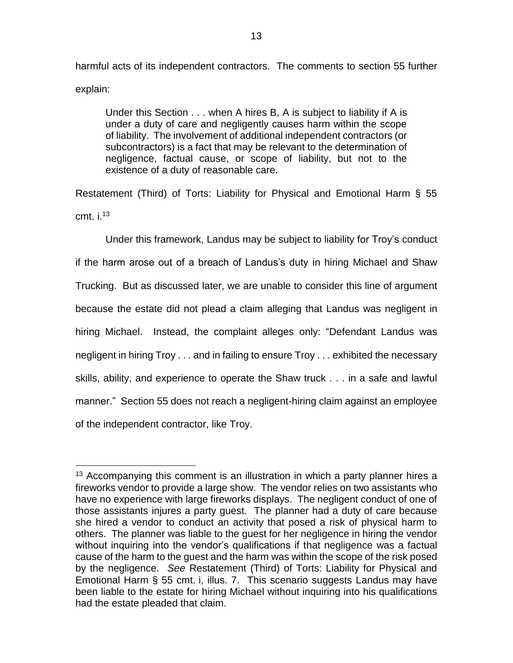harmful acts of its independent contractors. The comments to section 55 further explain:

Under this Section . . . when A hires B, A is subject to liability if A is under a duty of care and negligently causes harm within the scope of liability. The involvement of additional independent contractors (or subcontractors) is a fact that may be relevant to the determination of negligence, factual cause, or scope of liability, but not to the existence of a duty of reasonable care.

Restatement (Third) of Torts: Liability for Physical and Emotional Harm § 55 cmt. i. 13

Under this framework, Landus may be subject to liability for Troy's conduct if the harm arose out of a breach of Landus's duty in hiring Michael and Shaw Trucking. But as discussed later, we are unable to consider this line of argument because the estate did not plead a claim alleging that Landus was negligent in hiring Michael. Instead, the complaint alleges only: "Defendant Landus was negligent in hiring Troy . . . and in failing to ensure Troy . . . exhibited the necessary skills, ability, and experience to operate the Shaw truck . . . in a safe and lawful manner." Section 55 does not reach a negligent-hiring claim against an employee of the independent contractor, like Troy.

 $13$  Accompanying this comment is an illustration in which a party planner hires a fireworks vendor to provide a large show. The vendor relies on two assistants who have no experience with large fireworks displays. The negligent conduct of one of those assistants injures a party guest. The planner had a duty of care because she hired a vendor to conduct an activity that posed a risk of physical harm to others. The planner was liable to the guest for her negligence in hiring the vendor without inquiring into the vendor's qualifications if that negligence was a factual cause of the harm to the guest and the harm was within the scope of the risk posed by the negligence. *See* Restatement (Third) of Torts: Liability for Physical and Emotional Harm § 55 cmt. i, illus. 7. This scenario suggests Landus may have been liable to the estate for hiring Michael without inquiring into his qualifications had the estate pleaded that claim.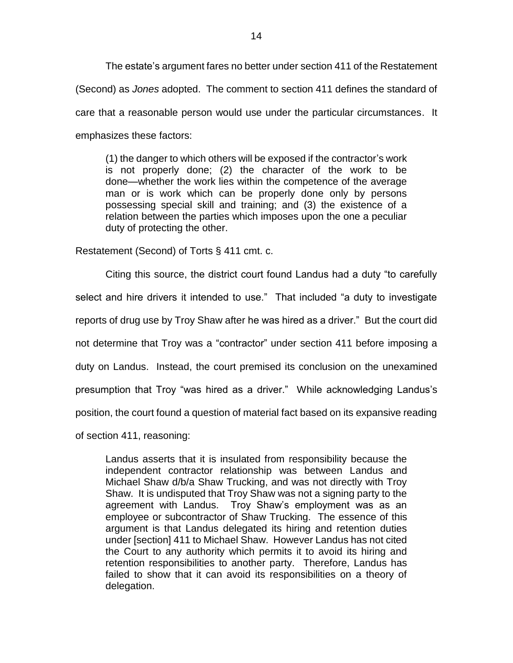The estate's argument fares no better under section 411 of the Restatement (Second) as *Jones* adopted. The comment to section 411 defines the standard of care that a reasonable person would use under the particular circumstances. It emphasizes these factors:

(1) the danger to which others will be exposed if the contractor's work is not properly done; (2) the character of the work to be done—whether the work lies within the competence of the average man or is work which can be properly done only by persons possessing special skill and training; and (3) the existence of a relation between the parties which imposes upon the one a peculiar duty of protecting the other.

Restatement (Second) of Torts § 411 cmt. c.

Citing this source, the district court found Landus had a duty "to carefully select and hire drivers it intended to use." That included "a duty to investigate reports of drug use by Troy Shaw after he was hired as a driver." But the court did not determine that Troy was a "contractor" under section 411 before imposing a duty on Landus. Instead, the court premised its conclusion on the unexamined presumption that Troy "was hired as a driver." While acknowledging Landus's position, the court found a question of material fact based on its expansive reading of section 411, reasoning:

Landus asserts that it is insulated from responsibility because the independent contractor relationship was between Landus and Michael Shaw d/b/a Shaw Trucking, and was not directly with Troy Shaw. It is undisputed that Troy Shaw was not a signing party to the agreement with Landus. Troy Shaw's employment was as an employee or subcontractor of Shaw Trucking. The essence of this argument is that Landus delegated its hiring and retention duties under [section] 411 to Michael Shaw. However Landus has not cited the Court to any authority which permits it to avoid its hiring and retention responsibilities to another party. Therefore, Landus has failed to show that it can avoid its responsibilities on a theory of delegation.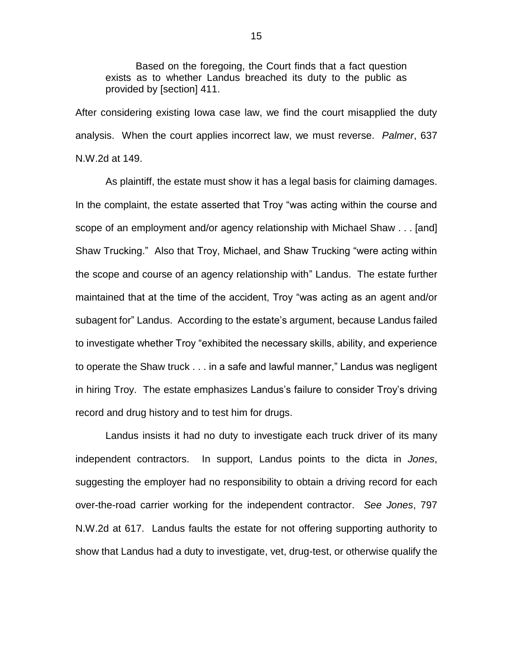Based on the foregoing, the Court finds that a fact question exists as to whether Landus breached its duty to the public as provided by [section] 411.

After considering existing Iowa case law, we find the court misapplied the duty analysis. When the court applies incorrect law, we must reverse. *Palmer*, 637 N.W.2d at 149.

As plaintiff, the estate must show it has a legal basis for claiming damages. In the complaint, the estate asserted that Troy "was acting within the course and scope of an employment and/or agency relationship with Michael Shaw . . . [and] Shaw Trucking." Also that Troy, Michael, and Shaw Trucking "were acting within the scope and course of an agency relationship with" Landus. The estate further maintained that at the time of the accident, Troy "was acting as an agent and/or subagent for" Landus. According to the estate's argument, because Landus failed to investigate whether Troy "exhibited the necessary skills, ability, and experience to operate the Shaw truck . . . in a safe and lawful manner," Landus was negligent in hiring Troy. The estate emphasizes Landus's failure to consider Troy's driving record and drug history and to test him for drugs.

Landus insists it had no duty to investigate each truck driver of its many independent contractors. In support, Landus points to the dicta in *Jones*, suggesting the employer had no responsibility to obtain a driving record for each over-the-road carrier working for the independent contractor. *See Jones*, 797 N.W.2d at 617. Landus faults the estate for not offering supporting authority to show that Landus had a duty to investigate, vet, drug-test, or otherwise qualify the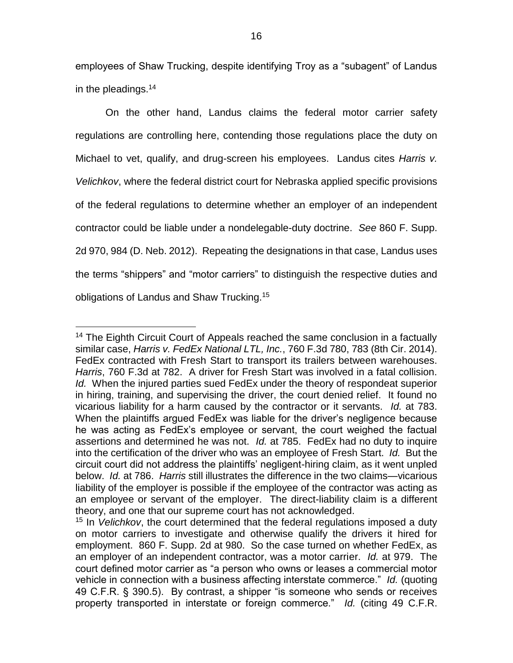employees of Shaw Trucking, despite identifying Troy as a "subagent" of Landus in the pleadings.<sup>14</sup>

On the other hand, Landus claims the federal motor carrier safety regulations are controlling here, contending those regulations place the duty on Michael to vet, qualify, and drug-screen his employees. Landus cites *Harris v. Velichkov*, where the federal district court for Nebraska applied specific provisions of the federal regulations to determine whether an employer of an independent contractor could be liable under a nondelegable-duty doctrine. *See* 860 F. Supp. 2d 970, 984 (D. Neb. 2012). Repeating the designations in that case, Landus uses the terms "shippers" and "motor carriers" to distinguish the respective duties and obligations of Landus and Shaw Trucking.<sup>15</sup>

<sup>&</sup>lt;sup>14</sup> The Eighth Circuit Court of Appeals reached the same conclusion in a factually similar case, *Harris v. FedEx National LTL, Inc.*, 760 F.3d 780, 783 (8th Cir. 2014). FedEx contracted with Fresh Start to transport its trailers between warehouses. *Harris*, 760 F.3d at 782. A driver for Fresh Start was involved in a fatal collision. *Id.* When the injured parties sued FedEx under the theory of respondeat superior in hiring, training, and supervising the driver, the court denied relief. It found no vicarious liability for a harm caused by the contractor or it servants. *Id.* at 783. When the plaintiffs argued FedEx was liable for the driver's negligence because he was acting as FedEx's employee or servant, the court weighed the factual assertions and determined he was not. *Id.* at 785. FedEx had no duty to inquire into the certification of the driver who was an employee of Fresh Start. *Id.* But the circuit court did not address the plaintiffs' negligent-hiring claim, as it went unpled below. *Id.* at 786. *Harris* still illustrates the difference in the two claims—vicarious liability of the employer is possible if the employee of the contractor was acting as an employee or servant of the employer. The direct-liability claim is a different theory, and one that our supreme court has not acknowledged.

<sup>15</sup> In *Velichkov*, the court determined that the federal regulations imposed a duty on motor carriers to investigate and otherwise qualify the drivers it hired for employment. 860 F. Supp. 2d at 980. So the case turned on whether FedEx, as an employer of an independent contractor, was a motor carrier. *Id.* at 979. The court defined motor carrier as "a person who owns or leases a commercial motor vehicle in connection with a business affecting interstate commerce." *Id.* (quoting 49 C.F.R. § 390.5). By contrast, a shipper "is someone who sends or receives property transported in interstate or foreign commerce." *Id.* (citing 49 C.F.R.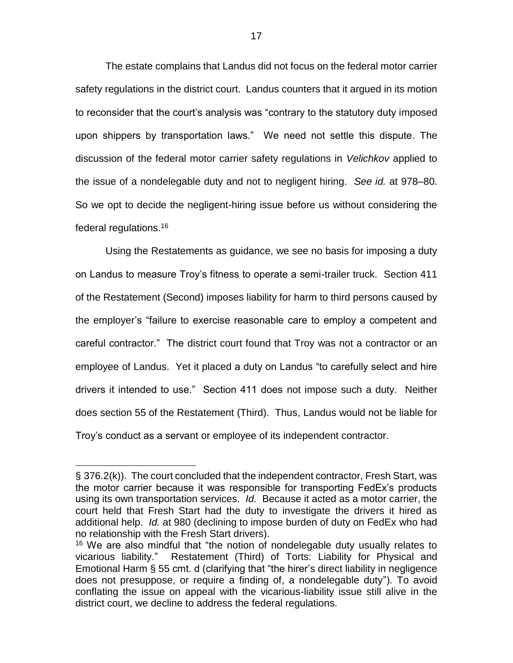The estate complains that Landus did not focus on the federal motor carrier safety regulations in the district court. Landus counters that it argued in its motion to reconsider that the court's analysis was "contrary to the statutory duty imposed upon shippers by transportation laws." We need not settle this dispute. The discussion of the federal motor carrier safety regulations in *Velichkov* applied to the issue of a nondelegable duty and not to negligent hiring. *See id.* at 978–80. So we opt to decide the negligent-hiring issue before us without considering the federal regulations.<sup>16</sup>

Using the Restatements as guidance, we see no basis for imposing a duty on Landus to measure Troy's fitness to operate a semi-trailer truck. Section 411 of the Restatement (Second) imposes liability for harm to third persons caused by the employer's "failure to exercise reasonable care to employ a competent and careful contractor." The district court found that Troy was not a contractor or an employee of Landus. Yet it placed a duty on Landus "to carefully select and hire drivers it intended to use." Section 411 does not impose such a duty. Neither does section 55 of the Restatement (Third). Thus, Landus would not be liable for Troy's conduct as a servant or employee of its independent contractor.

<sup>§</sup> 376.2(k)). The court concluded that the independent contractor, Fresh Start, was the motor carrier because it was responsible for transporting FedEx's products using its own transportation services. *Id.* Because it acted as a motor carrier, the court held that Fresh Start had the duty to investigate the drivers it hired as additional help. *Id.* at 980 (declining to impose burden of duty on FedEx who had no relationship with the Fresh Start drivers).

<sup>&</sup>lt;sup>16</sup> We are also mindful that "the notion of nondelegable duty usually relates to vicarious liability." Restatement (Third) of Torts: Liability for Physical and Emotional Harm § 55 cmt. d (clarifying that "the hirer's direct liability in negligence does not presuppose, or require a finding of, a nondelegable duty"). To avoid conflating the issue on appeal with the vicarious-liability issue still alive in the district court, we decline to address the federal regulations.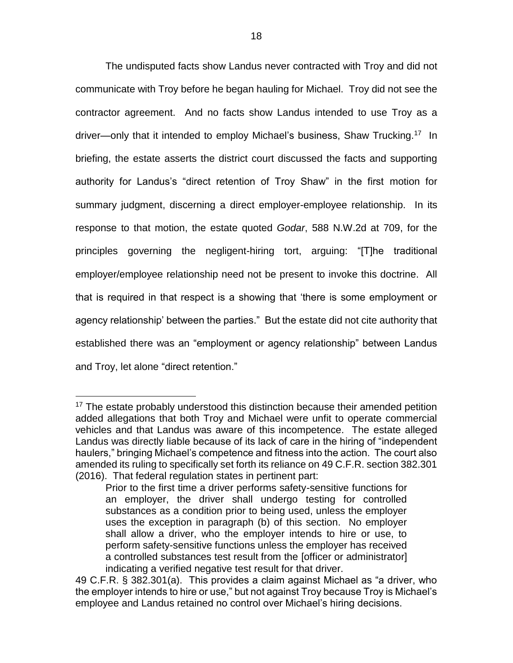The undisputed facts show Landus never contracted with Troy and did not communicate with Troy before he began hauling for Michael. Troy did not see the contractor agreement. And no facts show Landus intended to use Troy as a driver—only that it intended to employ Michael's business, Shaw Trucking.<sup>17</sup> In briefing, the estate asserts the district court discussed the facts and supporting authority for Landus's "direct retention of Troy Shaw" in the first motion for summary judgment, discerning a direct employer-employee relationship. In its response to that motion, the estate quoted *Godar*, 588 N.W.2d at 709, for the principles governing the negligent-hiring tort, arguing: "[T]he traditional employer/employee relationship need not be present to invoke this doctrine. All that is required in that respect is a showing that 'there is some employment or agency relationship' between the parties." But the estate did not cite authority that established there was an "employment or agency relationship" between Landus and Troy, let alone "direct retention."

 $\overline{a}$ <sup>17</sup> The estate probably understood this distinction because their amended petition added allegations that both Troy and Michael were unfit to operate commercial vehicles and that Landus was aware of this incompetence. The estate alleged Landus was directly liable because of its lack of care in the hiring of "independent haulers," bringing Michael's competence and fitness into the action. The court also amended its ruling to specifically set forth its reliance on 49 C.F.R. section 382.301 (2016). That federal regulation states in pertinent part:

Prior to the first time a driver performs safety-sensitive functions for an employer, the driver shall undergo testing for controlled substances as a condition prior to being used, unless the employer uses the exception in paragraph (b) of this section. No employer shall allow a driver, who the employer intends to hire or use, to perform safety-sensitive functions unless the employer has received a controlled substances test result from the [officer or administrator] indicating a verified negative test result for that driver.

<sup>49</sup> C.F.R. § 382.301(a). This provides a claim against Michael as "a driver, who the employer intends to hire or use," but not against Troy because Troy is Michael's employee and Landus retained no control over Michael's hiring decisions.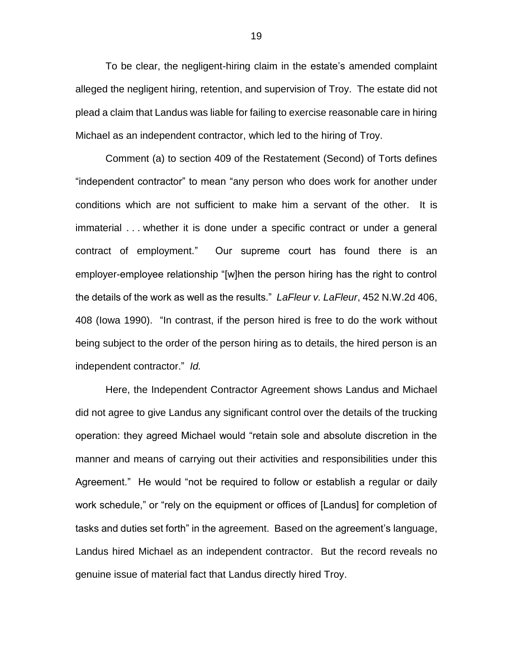To be clear, the negligent-hiring claim in the estate's amended complaint alleged the negligent hiring, retention, and supervision of Troy. The estate did not plead a claim that Landus was liable for failing to exercise reasonable care in hiring Michael as an independent contractor, which led to the hiring of Troy.

Comment (a) to section 409 of the Restatement (Second) of Torts defines "independent contractor" to mean "any person who does work for another under conditions which are not sufficient to make him a servant of the other. It is immaterial . . . whether it is done under a specific contract or under a general contract of employment." Our supreme court has found there is an employer-employee relationship "[w]hen the person hiring has the right to control the details of the work as well as the results." *LaFleur v. LaFleur*, 452 N.W.2d 406, 408 (Iowa 1990). "In contrast, if the person hired is free to do the work without being subject to the order of the person hiring as to details, the hired person is an independent contractor." *Id.*

Here, the Independent Contractor Agreement shows Landus and Michael did not agree to give Landus any significant control over the details of the trucking operation: they agreed Michael would "retain sole and absolute discretion in the manner and means of carrying out their activities and responsibilities under this Agreement." He would "not be required to follow or establish a regular or daily work schedule," or "rely on the equipment or offices of [Landus] for completion of tasks and duties set forth" in the agreement. Based on the agreement's language, Landus hired Michael as an independent contractor. But the record reveals no genuine issue of material fact that Landus directly hired Troy.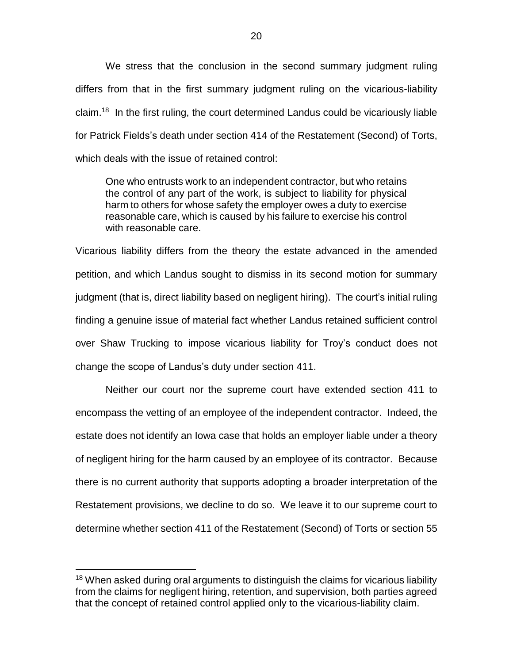We stress that the conclusion in the second summary judgment ruling differs from that in the first summary judgment ruling on the vicarious-liability claim.<sup>18</sup> In the first ruling, the court determined Landus could be vicariously liable for Patrick Fields's death under section 414 of the Restatement (Second) of Torts, which deals with the issue of retained control:

One who entrusts work to an independent contractor, but who retains the control of any part of the work, is subject to liability for physical harm to others for whose safety the employer owes a duty to exercise reasonable care, which is caused by his failure to exercise his control with reasonable care.

Vicarious liability differs from the theory the estate advanced in the amended petition, and which Landus sought to dismiss in its second motion for summary judgment (that is, direct liability based on negligent hiring). The court's initial ruling finding a genuine issue of material fact whether Landus retained sufficient control over Shaw Trucking to impose vicarious liability for Troy's conduct does not change the scope of Landus's duty under section 411.

Neither our court nor the supreme court have extended section 411 to encompass the vetting of an employee of the independent contractor. Indeed, the estate does not identify an Iowa case that holds an employer liable under a theory of negligent hiring for the harm caused by an employee of its contractor. Because there is no current authority that supports adopting a broader interpretation of the Restatement provisions, we decline to do so. We leave it to our supreme court to determine whether section 411 of the Restatement (Second) of Torts or section 55

<sup>&</sup>lt;sup>18</sup> When asked during oral arguments to distinguish the claims for vicarious liability from the claims for negligent hiring, retention, and supervision, both parties agreed that the concept of retained control applied only to the vicarious-liability claim.